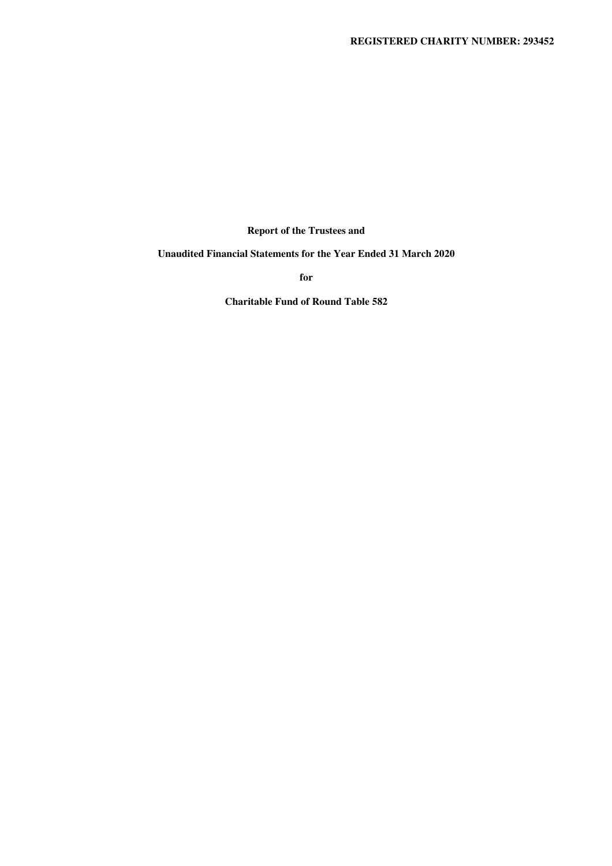**Report of the Trustees and** 

**Unaudited Financial Statements for the Year Ended 31 March 2020** 

**for** 

**Charitable Fund of Round Table 582**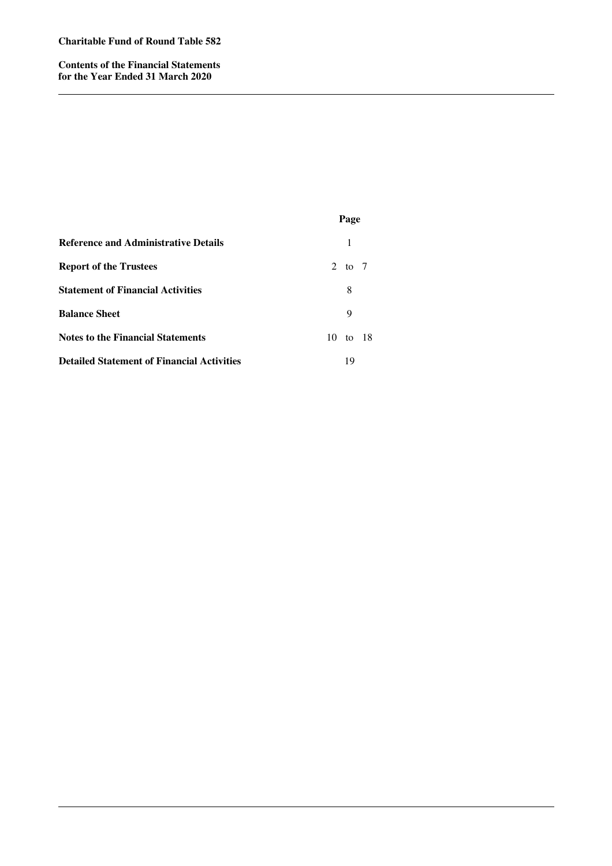# **Charitable Fund of Round Table 582**

**Contents of the Financial Statements for the Year Ended 31 March 2020** 

|                                                   | Page     |  |
|---------------------------------------------------|----------|--|
| <b>Reference and Administrative Details</b>       | 1        |  |
| <b>Report of the Trustees</b>                     | 2 to $7$ |  |
| <b>Statement of Financial Activities</b>          | 8        |  |
| <b>Balance Sheet</b>                              | 9        |  |
| <b>Notes to the Financial Statements</b>          | 10 to 18 |  |
| <b>Detailed Statement of Financial Activities</b> | 19       |  |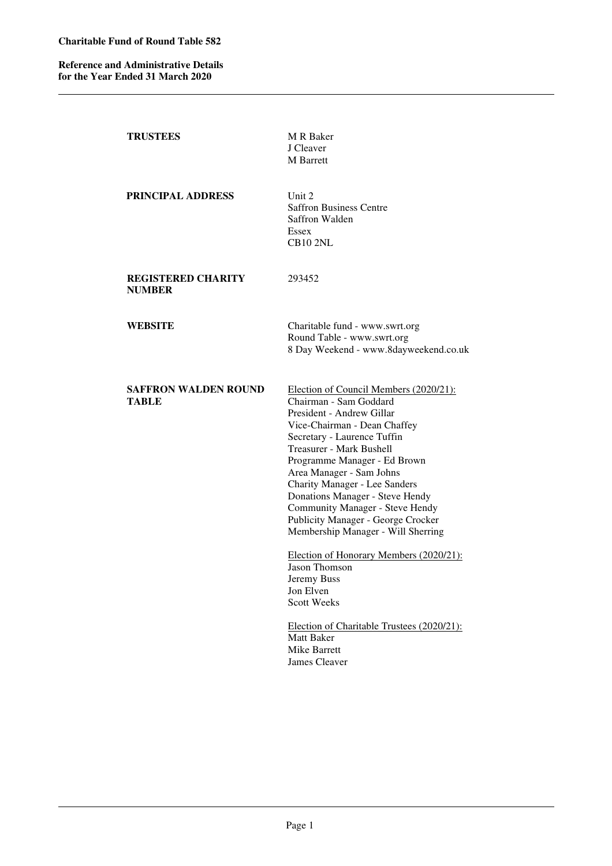# **Reference and Administrative Details for the Year Ended 31 March 2020**

| <b>TRUSTEES</b>                            | M R Baker<br>J Cleaver<br><b>M</b> Barrett                                                                                                                                                                                                                                                                                                                                                                                                                                                                                                                                                                                                                              |
|--------------------------------------------|-------------------------------------------------------------------------------------------------------------------------------------------------------------------------------------------------------------------------------------------------------------------------------------------------------------------------------------------------------------------------------------------------------------------------------------------------------------------------------------------------------------------------------------------------------------------------------------------------------------------------------------------------------------------------|
| PRINCIPAL ADDRESS                          | Unit 2<br><b>Saffron Business Centre</b><br>Saffron Walden<br><b>Essex</b><br><b>CB10 2NL</b>                                                                                                                                                                                                                                                                                                                                                                                                                                                                                                                                                                           |
| <b>REGISTERED CHARITY</b><br><b>NUMBER</b> | 293452                                                                                                                                                                                                                                                                                                                                                                                                                                                                                                                                                                                                                                                                  |
| <b>WEBSITE</b>                             | Charitable fund - www.swrt.org<br>Round Table - www.swrt.org<br>8 Day Weekend - www.8dayweekend.co.uk                                                                                                                                                                                                                                                                                                                                                                                                                                                                                                                                                                   |
| <b>SAFFRON WALDEN ROUND</b><br>TABLE       | Election of Council Members (2020/21):<br>Chairman - Sam Goddard<br>President - Andrew Gillar<br>Vice-Chairman - Dean Chaffey<br>Secretary - Laurence Tuffin<br>Treasurer - Mark Bushell<br>Programme Manager - Ed Brown<br>Area Manager - Sam Johns<br><b>Charity Manager - Lee Sanders</b><br>Donations Manager - Steve Hendy<br>Community Manager - Steve Hendy<br>Publicity Manager - George Crocker<br>Membership Manager - Will Sherring<br>Election of Honorary Members (2020/21):<br>Jason Thomson<br>Jeremy Buss<br>Jon Elven<br><b>Scott Weeks</b><br>Election of Charitable Trustees (2020/21):<br><b>Matt Baker</b><br><b>Mike Barrett</b><br>James Cleaver |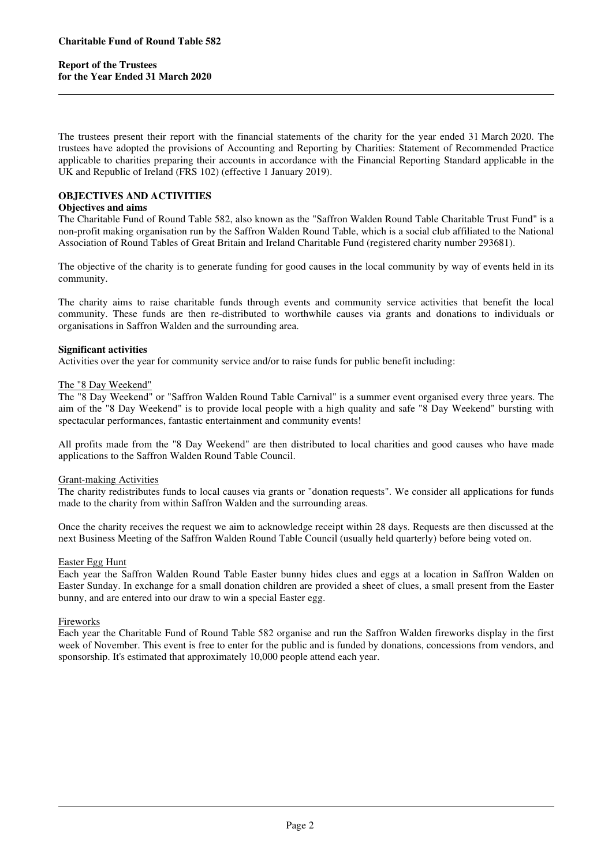The trustees present their report with the financial statements of the charity for the year ended 31 March 2020. The trustees have adopted the provisions of Accounting and Reporting by Charities: Statement of Recommended Practice applicable to charities preparing their accounts in accordance with the Financial Reporting Standard applicable in the UK and Republic of Ireland (FRS 102) (effective 1 January 2019).

# **OBJECTIVES AND ACTIVITIES**

# **Objectives and aims**

The Charitable Fund of Round Table 582, also known as the "Saffron Walden Round Table Charitable Trust Fund" is a non-profit making organisation run by the Saffron Walden Round Table, which is a social club affiliated to the National Association of Round Tables of Great Britain and Ireland Charitable Fund (registered charity number 293681).

The objective of the charity is to generate funding for good causes in the local community by way of events held in its community.

The charity aims to raise charitable funds through events and community service activities that benefit the local community. These funds are then re-distributed to worthwhile causes via grants and donations to individuals or organisations in Saffron Walden and the surrounding area.

### **Significant activities**

Activities over the year for community service and/or to raise funds for public benefit including:

### The "8 Day Weekend"

The "8 Day Weekend" or "Saffron Walden Round Table Carnival" is a summer event organised every three years. The aim of the "8 Day Weekend" is to provide local people with a high quality and safe "8 Day Weekend" bursting with spectacular performances, fantastic entertainment and community events!

All profits made from the "8 Day Weekend" are then distributed to local charities and good causes who have made applications to the Saffron Walden Round Table Council.

### Grant-making Activities

The charity redistributes funds to local causes via grants or "donation requests". We consider all applications for funds made to the charity from within Saffron Walden and the surrounding areas.

Once the charity receives the request we aim to acknowledge receipt within 28 days. Requests are then discussed at the next Business Meeting of the Saffron Walden Round Table Council (usually held quarterly) before being voted on.

## Easter Egg Hunt

Each year the Saffron Walden Round Table Easter bunny hides clues and eggs at a location in Saffron Walden on Easter Sunday. In exchange for a small donation children are provided a sheet of clues, a small present from the Easter bunny, and are entered into our draw to win a special Easter egg.

### Fireworks

Each year the Charitable Fund of Round Table 582 organise and run the Saffron Walden fireworks display in the first week of November. This event is free to enter for the public and is funded by donations, concessions from vendors, and sponsorship. It's estimated that approximately 10,000 people attend each year.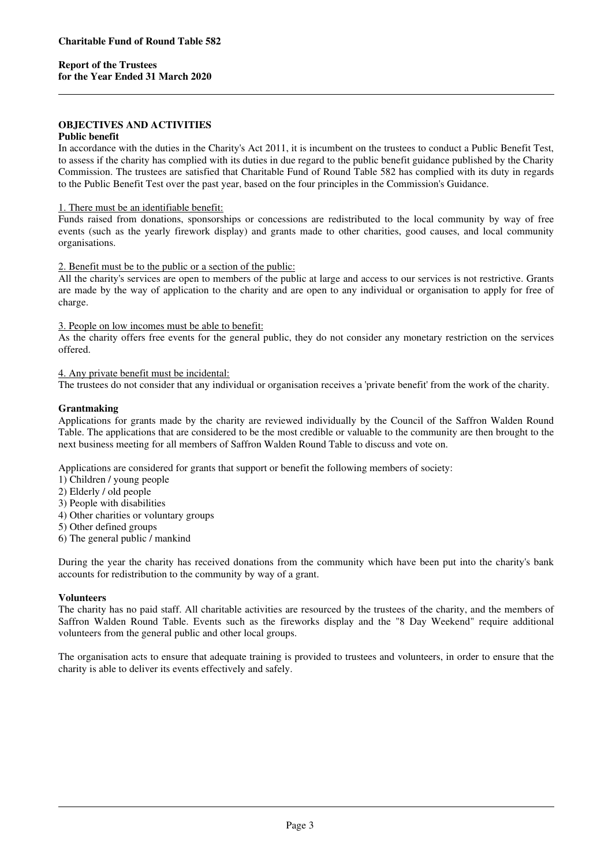# **Report of the Trustees for the Year Ended 31 March 2020**

# **OBJECTIVES AND ACTIVITIES**

# **Public benefit**

In accordance with the duties in the Charity's Act 2011, it is incumbent on the trustees to conduct a Public Benefit Test, to assess if the charity has complied with its duties in due regard to the public benefit guidance published by the Charity Commission. The trustees are satisfied that Charitable Fund of Round Table 582 has complied with its duty in regards to the Public Benefit Test over the past year, based on the four principles in the Commission's Guidance.

### 1. There must be an identifiable benefit:

Funds raised from donations, sponsorships or concessions are redistributed to the local community by way of free events (such as the yearly firework display) and grants made to other charities, good causes, and local community organisations.

## 2. Benefit must be to the public or a section of the public:

All the charity's services are open to members of the public at large and access to our services is not restrictive. Grants are made by the way of application to the charity and are open to any individual or organisation to apply for free of charge.

3. People on low incomes must be able to benefit:

As the charity offers free events for the general public, they do not consider any monetary restriction on the services offered.

### 4. Any private benefit must be incidental:

The trustees do not consider that any individual or organisation receives a 'private benefit' from the work of the charity.

## **Grantmaking**

Applications for grants made by the charity are reviewed individually by the Council of the Saffron Walden Round Table. The applications that are considered to be the most credible or valuable to the community are then brought to the next business meeting for all members of Saffron Walden Round Table to discuss and vote on.

Applications are considered for grants that support or benefit the following members of society:

- 1) Children / young people
- 2) Elderly / old people
- 3) People with disabilities
- 4) Other charities or voluntary groups
- 5) Other defined groups
- 6) The general public / mankind

During the year the charity has received donations from the community which have been put into the charity's bank accounts for redistribution to the community by way of a grant.

## **Volunteers**

The charity has no paid staff. All charitable activities are resourced by the trustees of the charity, and the members of Saffron Walden Round Table. Events such as the fireworks display and the "8 Day Weekend" require additional volunteers from the general public and other local groups.

The organisation acts to ensure that adequate training is provided to trustees and volunteers, in order to ensure that the charity is able to deliver its events effectively and safely.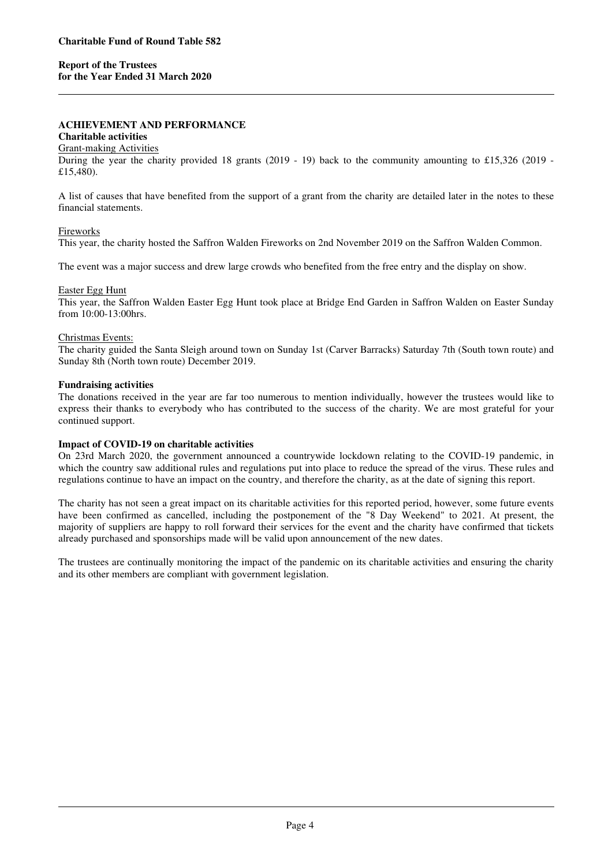# **ACHIEVEMENT AND PERFORMANCE**

### **Charitable activities**

## Grant-making Activities

During the year the charity provided 18 grants (2019 - 19) back to the community amounting to £15,326 (2019 - £15,480).

A list of causes that have benefited from the support of a grant from the charity are detailed later in the notes to these financial statements.

## Fireworks

This year, the charity hosted the Saffron Walden Fireworks on 2nd November 2019 on the Saffron Walden Common.

The event was a major success and drew large crowds who benefited from the free entry and the display on show.

### Easter Egg Hunt

This year, the Saffron Walden Easter Egg Hunt took place at Bridge End Garden in Saffron Walden on Easter Sunday from 10:00-13:00hrs.

### Christmas Events:

The charity guided the Santa Sleigh around town on Sunday 1st (Carver Barracks) Saturday 7th (South town route) and Sunday 8th (North town route) December 2019.

### **Fundraising activities**

The donations received in the year are far too numerous to mention individually, however the trustees would like to express their thanks to everybody who has contributed to the success of the charity. We are most grateful for your continued support.

## **Impact of COVID-19 on charitable activities**

On 23rd March 2020, the government announced a countrywide lockdown relating to the COVID-19 pandemic, in which the country saw additional rules and regulations put into place to reduce the spread of the virus. These rules and regulations continue to have an impact on the country, and therefore the charity, as at the date of signing this report.

The charity has not seen a great impact on its charitable activities for this reported period, however, some future events have been confirmed as cancelled, including the postponement of the "8 Day Weekend" to 2021. At present, the majority of suppliers are happy to roll forward their services for the event and the charity have confirmed that tickets already purchased and sponsorships made will be valid upon announcement of the new dates.

The trustees are continually monitoring the impact of the pandemic on its charitable activities and ensuring the charity and its other members are compliant with government legislation.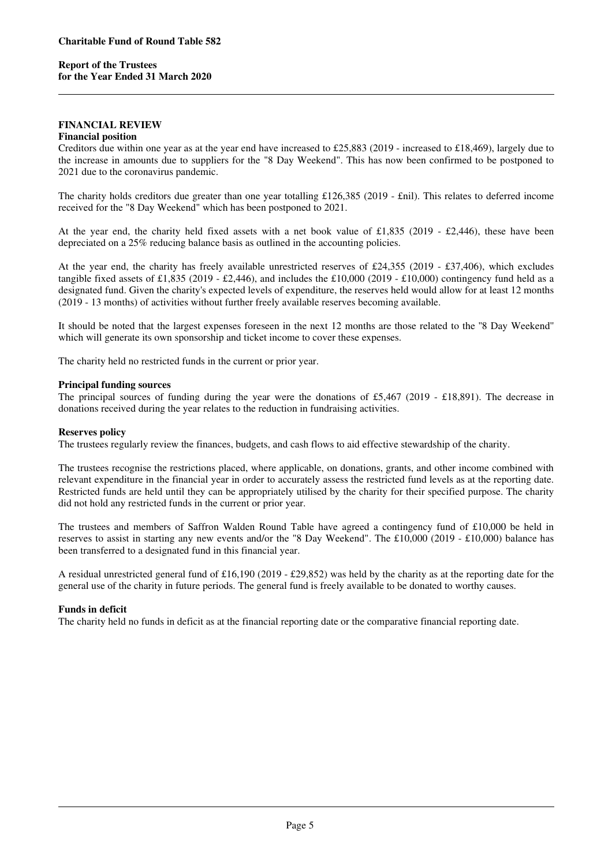### **FINANCIAL REVIEW Financial position**

Creditors due within one year as at the year end have increased to £25,883 (2019 - increased to £18,469), largely due to the increase in amounts due to suppliers for the "8 Day Weekend". This has now been confirmed to be postponed to 2021 due to the coronavirus pandemic.

The charity holds creditors due greater than one year totalling £126,385 (2019 - £nil). This relates to deferred income received for the "8 Day Weekend" which has been postponed to 2021.

At the year end, the charity held fixed assets with a net book value of £1,835 (2019 - £2,446), these have been depreciated on a 25% reducing balance basis as outlined in the accounting policies.

At the year end, the charity has freely available unrestricted reserves of £24,355 (2019 - £37,406), which excludes tangible fixed assets of £1,835 (2019 - £2,446), and includes the £10,000 (2019 - £10,000) contingency fund held as a designated fund. Given the charity's expected levels of expenditure, the reserves held would allow for at least 12 months (2019 - 13 months) of activities without further freely available reserves becoming available.

It should be noted that the largest expenses foreseen in the next 12 months are those related to the ''8 Day Weekend'' which will generate its own sponsorship and ticket income to cover these expenses.

The charity held no restricted funds in the current or prior year.

## **Principal funding sources**

The principal sources of funding during the year were the donations of £5,467 (2019 - £18,891). The decrease in donations received during the year relates to the reduction in fundraising activities.

### **Reserves policy**

The trustees regularly review the finances, budgets, and cash flows to aid effective stewardship of the charity.

The trustees recognise the restrictions placed, where applicable, on donations, grants, and other income combined with relevant expenditure in the financial year in order to accurately assess the restricted fund levels as at the reporting date. Restricted funds are held until they can be appropriately utilised by the charity for their specified purpose. The charity did not hold any restricted funds in the current or prior year.

The trustees and members of Saffron Walden Round Table have agreed a contingency fund of £10,000 be held in reserves to assist in starting any new events and/or the "8 Day Weekend". The £10,000 (2019 - £10,000) balance has been transferred to a designated fund in this financial year.

A residual unrestricted general fund of £16,190 (2019 - £29,852) was held by the charity as at the reporting date for the general use of the charity in future periods. The general fund is freely available to be donated to worthy causes.

## **Funds in deficit**

The charity held no funds in deficit as at the financial reporting date or the comparative financial reporting date.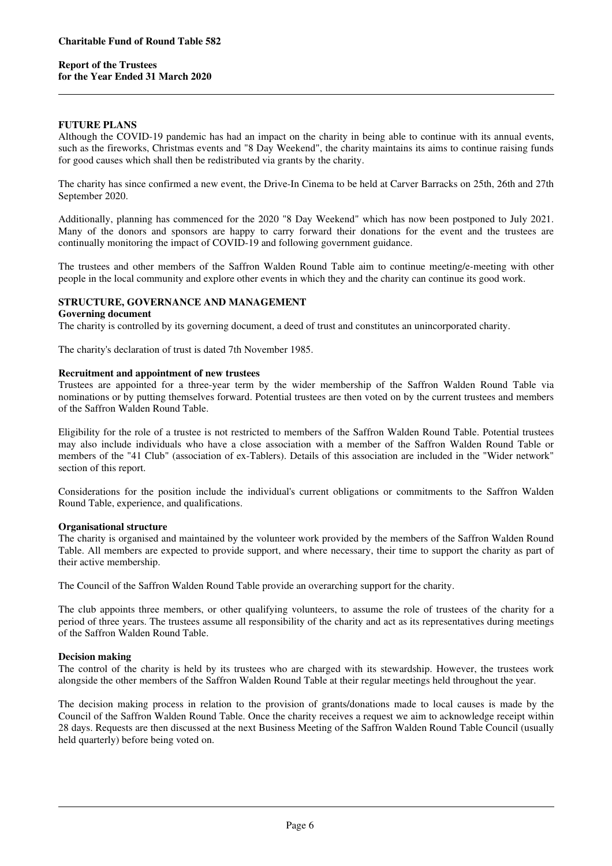# **Report of the Trustees for the Year Ended 31 March 2020**

## **FUTURE PLANS**

Although the COVID-19 pandemic has had an impact on the charity in being able to continue with its annual events, such as the fireworks, Christmas events and "8 Day Weekend", the charity maintains its aims to continue raising funds for good causes which shall then be redistributed via grants by the charity.

The charity has since confirmed a new event, the Drive-In Cinema to be held at Carver Barracks on 25th, 26th and 27th September 2020.

Additionally, planning has commenced for the 2020 "8 Day Weekend" which has now been postponed to July 2021. Many of the donors and sponsors are happy to carry forward their donations for the event and the trustees are continually monitoring the impact of COVID-19 and following government guidance.

The trustees and other members of the Saffron Walden Round Table aim to continue meeting/e-meeting with other people in the local community and explore other events in which they and the charity can continue its good work.

### **STRUCTURE, GOVERNANCE AND MANAGEMENT**

### **Governing document**

The charity is controlled by its governing document, a deed of trust and constitutes an unincorporated charity.

The charity's declaration of trust is dated 7th November 1985.

### **Recruitment and appointment of new trustees**

Trustees are appointed for a three-year term by the wider membership of the Saffron Walden Round Table via nominations or by putting themselves forward. Potential trustees are then voted on by the current trustees and members of the Saffron Walden Round Table.

Eligibility for the role of a trustee is not restricted to members of the Saffron Walden Round Table. Potential trustees may also include individuals who have a close association with a member of the Saffron Walden Round Table or members of the "41 Club" (association of ex-Tablers). Details of this association are included in the "Wider network" section of this report.

Considerations for the position include the individual's current obligations or commitments to the Saffron Walden Round Table, experience, and qualifications.

### **Organisational structure**

The charity is organised and maintained by the volunteer work provided by the members of the Saffron Walden Round Table. All members are expected to provide support, and where necessary, their time to support the charity as part of their active membership.

The Council of the Saffron Walden Round Table provide an overarching support for the charity.

The club appoints three members, or other qualifying volunteers, to assume the role of trustees of the charity for a period of three years. The trustees assume all responsibility of the charity and act as its representatives during meetings of the Saffron Walden Round Table.

## **Decision making**

The control of the charity is held by its trustees who are charged with its stewardship. However, the trustees work alongside the other members of the Saffron Walden Round Table at their regular meetings held throughout the year.

The decision making process in relation to the provision of grants/donations made to local causes is made by the Council of the Saffron Walden Round Table. Once the charity receives a request we aim to acknowledge receipt within 28 days. Requests are then discussed at the next Business Meeting of the Saffron Walden Round Table Council (usually held quarterly) before being voted on.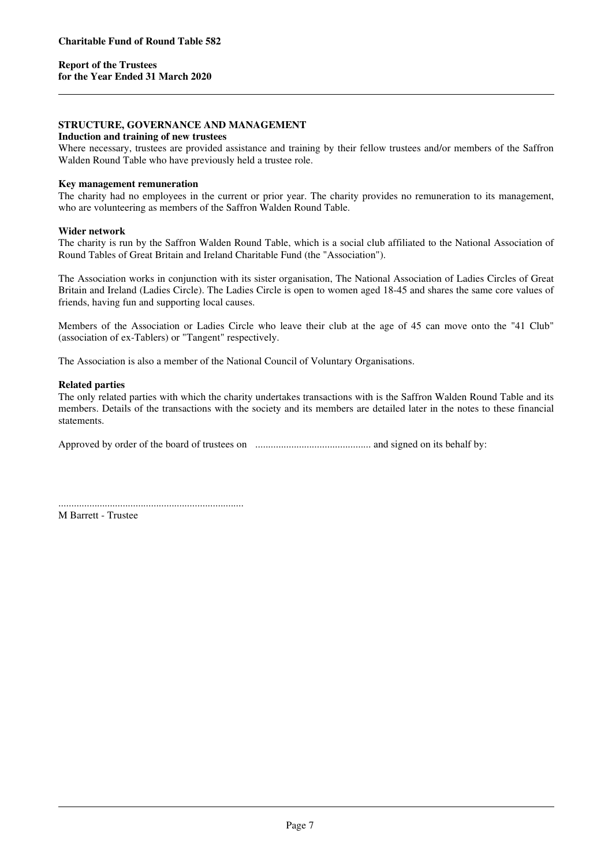# **STRUCTURE, GOVERNANCE AND MANAGEMENT**

## **Induction and training of new trustees**

Where necessary, trustees are provided assistance and training by their fellow trustees and/or members of the Saffron Walden Round Table who have previously held a trustee role.

### **Key management remuneration**

The charity had no employees in the current or prior year. The charity provides no remuneration to its management, who are volunteering as members of the Saffron Walden Round Table.

### **Wider network**

The charity is run by the Saffron Walden Round Table, which is a social club affiliated to the National Association of Round Tables of Great Britain and Ireland Charitable Fund (the "Association").

The Association works in conjunction with its sister organisation, The National Association of Ladies Circles of Great Britain and Ireland (Ladies Circle). The Ladies Circle is open to women aged 18-45 and shares the same core values of friends, having fun and supporting local causes.

Members of the Association or Ladies Circle who leave their club at the age of 45 can move onto the "41 Club" (association of ex-Tablers) or "Tangent" respectively.

The Association is also a member of the National Council of Voluntary Organisations.

## **Related parties**

The only related parties with which the charity undertakes transactions with is the Saffron Walden Round Table and its members. Details of the transactions with the society and its members are detailed later in the notes to these financial statements.

Approved by order of the board of trustees on ............................................. and signed on its behalf by:

M Barrett - Trustee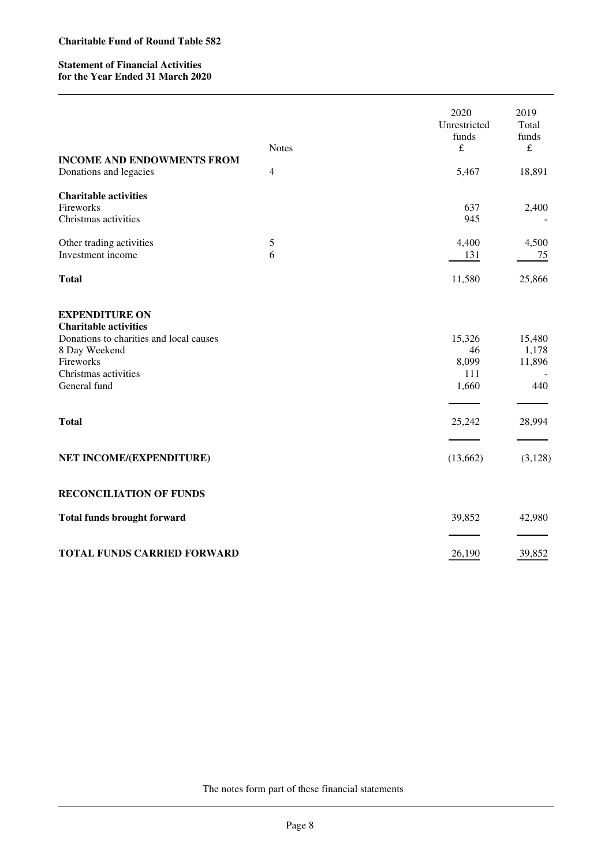# **Charitable Fund of Round Table 582**

## **Statement of Financial Activities for the Year Ended 31 March 2020**

| <b>INCOME AND ENDOWMENTS FROM</b>                                                                                                                                      | <b>Notes</b>        | 2020<br>Unrestricted<br>funds<br>$\pounds$ | 2019<br>Total<br>funds<br>£      |
|------------------------------------------------------------------------------------------------------------------------------------------------------------------------|---------------------|--------------------------------------------|----------------------------------|
| Donations and legacies                                                                                                                                                 | $\overline{4}$      | 5,467                                      | 18,891                           |
| <b>Charitable activities</b><br>Fireworks<br>Christmas activities                                                                                                      |                     | 637<br>945                                 | 2,400                            |
| Other trading activities<br>Investment income                                                                                                                          | $\mathfrak{S}$<br>6 | 4,400<br>131                               | 4,500<br>75                      |
| <b>Total</b>                                                                                                                                                           |                     | 11,580                                     | 25,866                           |
| <b>EXPENDITURE ON</b><br><b>Charitable activities</b><br>Donations to charities and local causes<br>8 Day Weekend<br>Fireworks<br>Christmas activities<br>General fund |                     | 15,326<br>46<br>8,099<br>111<br>1,660      | 15,480<br>1,178<br>11,896<br>440 |
| <b>Total</b>                                                                                                                                                           |                     | 25,242                                     | 28,994                           |
| NET INCOME/(EXPENDITURE)                                                                                                                                               |                     | (13,662)                                   | (3, 128)                         |
| <b>RECONCILIATION OF FUNDS</b>                                                                                                                                         |                     |                                            |                                  |
| <b>Total funds brought forward</b>                                                                                                                                     |                     | 39,852                                     | 42,980                           |
| <b>TOTAL FUNDS CARRIED FORWARD</b>                                                                                                                                     |                     | 26,190                                     | 39,852                           |

The notes form part of these financial statements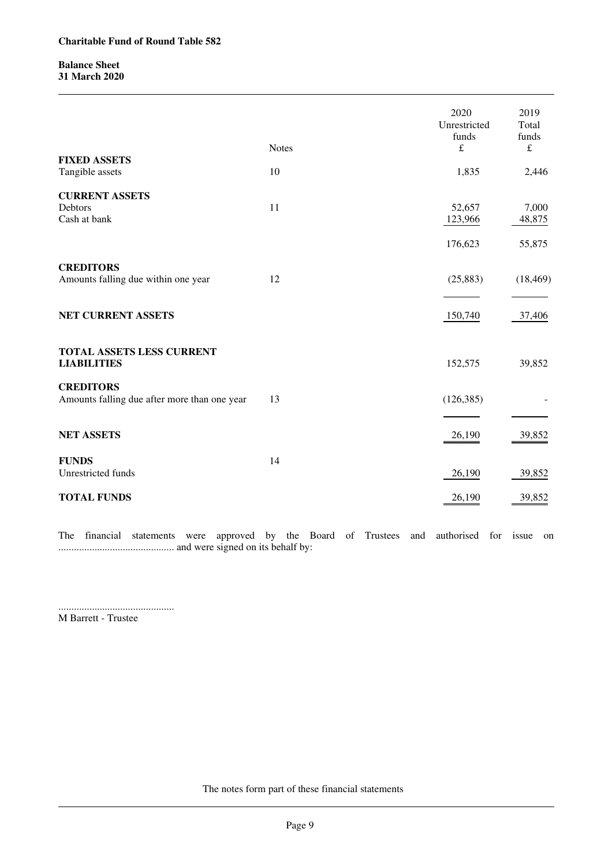## **Balance Sheet 31 March 2020**

| <b>FIXED ASSETS</b>                                              | <b>Notes</b> | 2020<br>Unrestricted<br>funds<br>$\pounds$ | 2019<br>Total<br>funds<br>$\pounds$ |
|------------------------------------------------------------------|--------------|--------------------------------------------|-------------------------------------|
| Tangible assets                                                  | 10           | 1,835                                      | 2,446                               |
| <b>CURRENT ASSETS</b><br>Debtors<br>Cash at bank                 | 11           | 52,657<br>123,966                          | 7,000<br>48,875                     |
|                                                                  |              | 176,623                                    | 55,875                              |
| <b>CREDITORS</b><br>Amounts falling due within one year          | 12           | (25, 883)                                  | (18, 469)                           |
| NET CURRENT ASSETS                                               |              | 150,740                                    | 37,406                              |
| <b>TOTAL ASSETS LESS CURRENT</b><br><b>LIABILITIES</b>           |              | 152,575                                    | 39,852                              |
| <b>CREDITORS</b><br>Amounts falling due after more than one year | 13           | (126, 385)                                 |                                     |
| <b>NET ASSETS</b>                                                |              | 26,190                                     | 39,852                              |
| <b>FUNDS</b><br>Unrestricted funds                               | 14           | 26,190                                     | 39,852                              |
| <b>TOTAL FUNDS</b>                                               |              | 26,190                                     | 39,852                              |

The financial statements were approved by the Board of Trustees and authorised for issue on ............................................. and were signed on its behalf by:

............................................. M Barrett - Trustee

The notes form part of these financial statements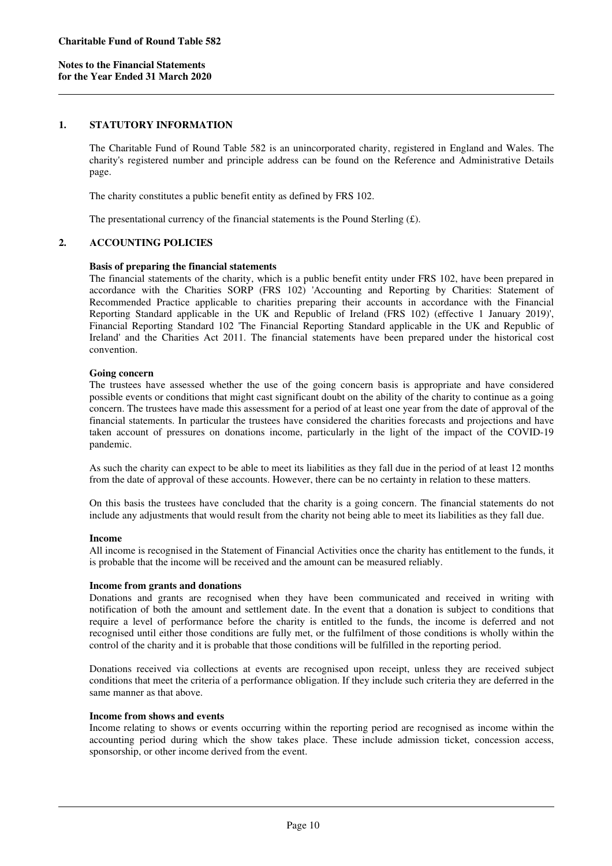## **1. STATUTORY INFORMATION**

The Charitable Fund of Round Table 582 is an unincorporated charity, registered in England and Wales. The charity's registered number and principle address can be found on the Reference and Administrative Details page.

The charity constitutes a public benefit entity as defined by FRS 102.

The presentational currency of the financial statements is the Pound Sterling  $(f)$ .

## **2. ACCOUNTING POLICIES**

## **Basis of preparing the financial statements**

The financial statements of the charity, which is a public benefit entity under FRS 102, have been prepared in accordance with the Charities SORP (FRS 102) 'Accounting and Reporting by Charities: Statement of Recommended Practice applicable to charities preparing their accounts in accordance with the Financial Reporting Standard applicable in the UK and Republic of Ireland (FRS 102) (effective 1 January 2019)', Financial Reporting Standard 102 'The Financial Reporting Standard applicable in the UK and Republic of Ireland' and the Charities Act 2011. The financial statements have been prepared under the historical cost convention.

## **Going concern**

The trustees have assessed whether the use of the going concern basis is appropriate and have considered possible events or conditions that might cast significant doubt on the ability of the charity to continue as a going concern. The trustees have made this assessment for a period of at least one year from the date of approval of the financial statements. In particular the trustees have considered the charities forecasts and projections and have taken account of pressures on donations income, particularly in the light of the impact of the COVID-19 pandemic.

As such the charity can expect to be able to meet its liabilities as they fall due in the period of at least 12 months from the date of approval of these accounts. However, there can be no certainty in relation to these matters.

On this basis the trustees have concluded that the charity is a going concern. The financial statements do not include any adjustments that would result from the charity not being able to meet its liabilities as they fall due.

## **Income**

All income is recognised in the Statement of Financial Activities once the charity has entitlement to the funds, it is probable that the income will be received and the amount can be measured reliably.

## **Income from grants and donations**

Donations and grants are recognised when they have been communicated and received in writing with notification of both the amount and settlement date. In the event that a donation is subject to conditions that require a level of performance before the charity is entitled to the funds, the income is deferred and not recognised until either those conditions are fully met, or the fulfilment of those conditions is wholly within the control of the charity and it is probable that those conditions will be fulfilled in the reporting period.

Donations received via collections at events are recognised upon receipt, unless they are received subject conditions that meet the criteria of a performance obligation. If they include such criteria they are deferred in the same manner as that above.

### **Income from shows and events**

Income relating to shows or events occurring within the reporting period are recognised as income within the accounting period during which the show takes place. These include admission ticket, concession access, sponsorship, or other income derived from the event.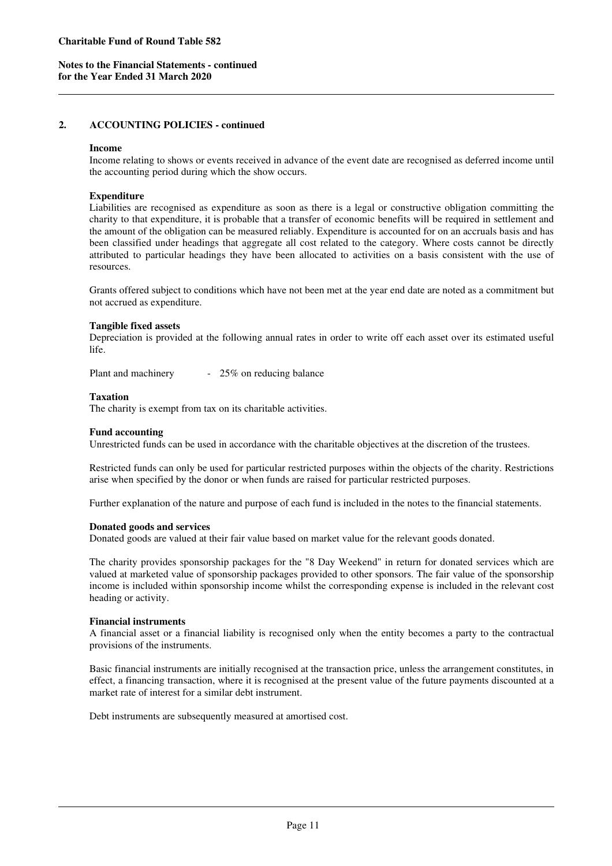## **2. ACCOUNTING POLICIES - continued**

### **Income**

Income relating to shows or events received in advance of the event date are recognised as deferred income until the accounting period during which the show occurs.

## **Expenditure**

Liabilities are recognised as expenditure as soon as there is a legal or constructive obligation committing the charity to that expenditure, it is probable that a transfer of economic benefits will be required in settlement and the amount of the obligation can be measured reliably. Expenditure is accounted for on an accruals basis and has been classified under headings that aggregate all cost related to the category. Where costs cannot be directly attributed to particular headings they have been allocated to activities on a basis consistent with the use of resources.

Grants offered subject to conditions which have not been met at the year end date are noted as a commitment but not accrued as expenditure.

### **Tangible fixed assets**

Depreciation is provided at the following annual rates in order to write off each asset over its estimated useful life.

Plant and machinery - 25% on reducing balance

## **Taxation**

The charity is exempt from tax on its charitable activities.

### **Fund accounting**

Unrestricted funds can be used in accordance with the charitable objectives at the discretion of the trustees.

Restricted funds can only be used for particular restricted purposes within the objects of the charity. Restrictions arise when specified by the donor or when funds are raised for particular restricted purposes.

Further explanation of the nature and purpose of each fund is included in the notes to the financial statements.

## **Donated goods and services**

Donated goods are valued at their fair value based on market value for the relevant goods donated.

The charity provides sponsorship packages for the "8 Day Weekend" in return for donated services which are valued at marketed value of sponsorship packages provided to other sponsors. The fair value of the sponsorship income is included within sponsorship income whilst the corresponding expense is included in the relevant cost heading or activity.

## **Financial instruments**

A financial asset or a financial liability is recognised only when the entity becomes a party to the contractual provisions of the instruments.

Basic financial instruments are initially recognised at the transaction price, unless the arrangement constitutes, in effect, a financing transaction, where it is recognised at the present value of the future payments discounted at a market rate of interest for a similar debt instrument.

Debt instruments are subsequently measured at amortised cost.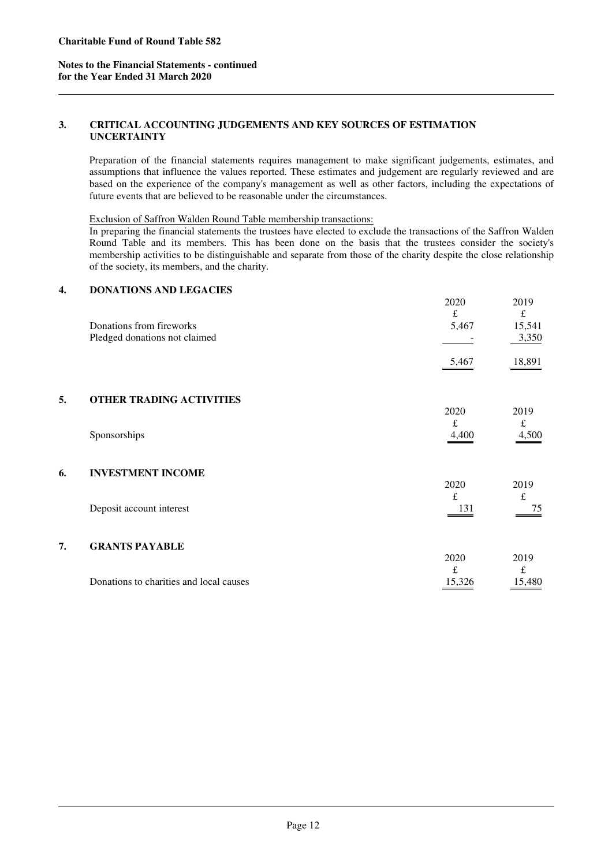## **Notes to the Financial Statements - continued for the Year Ended 31 March 2020**

## **3. CRITICAL ACCOUNTING JUDGEMENTS AND KEY SOURCES OF ESTIMATION UNCERTAINTY**

Preparation of the financial statements requires management to make significant judgements, estimates, and assumptions that influence the values reported. These estimates and judgement are regularly reviewed and are based on the experience of the company's management as well as other factors, including the expectations of future events that are believed to be reasonable under the circumstances.

Exclusion of Saffron Walden Round Table membership transactions:

In preparing the financial statements the trustees have elected to exclude the transactions of the Saffron Walden Round Table and its members. This has been done on the basis that the trustees consider the society's membership activities to be distinguishable and separate from those of the charity despite the close relationship of the society, its members, and the charity.

# **4. DONATIONS AND LEGACIES**

|    | Donations from fireworks<br>Pledged donations not claimed | 2020<br>$\pounds$<br>5,467 | 2019<br>$\pounds$<br>15,541<br>3,350 |
|----|-----------------------------------------------------------|----------------------------|--------------------------------------|
|    |                                                           | 5,467                      | 18,891                               |
| 5. | <b>OTHER TRADING ACTIVITIES</b>                           | 2020                       | 2019                                 |
|    | Sponsorships                                              | £<br>4,400                 | $\pounds$<br>4,500                   |
| 6. | <b>INVESTMENT INCOME</b>                                  | 2020                       | 2019                                 |
|    | Deposit account interest                                  | £<br>131                   | £<br>75                              |
| 7. | <b>GRANTS PAYABLE</b>                                     | 2020                       | 2019                                 |
|    | Donations to charities and local causes                   | $\pounds$<br>15,326        | £<br>15,480                          |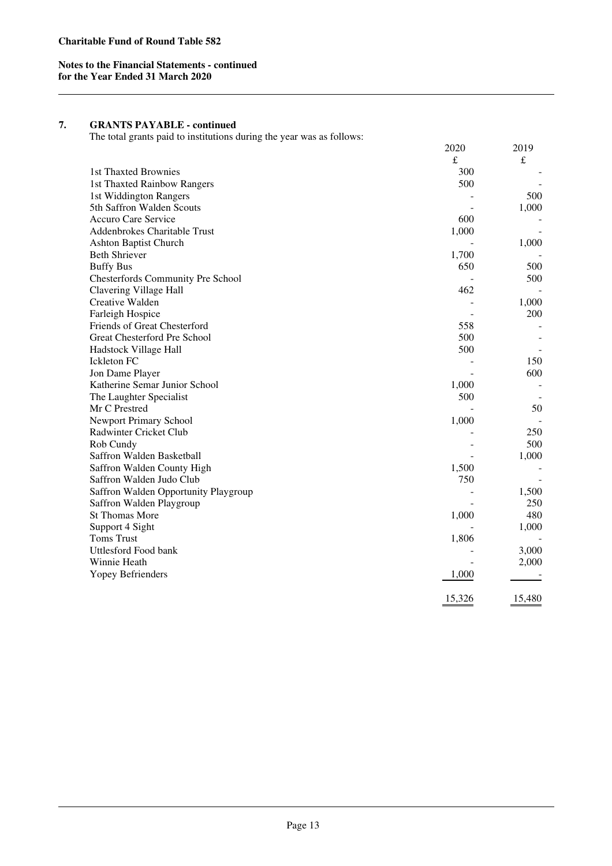# **Notes to the Financial Statements - continued for the Year Ended 31 March 2020**

# **7. GRANTS PAYABLE - continued**

The total grants paid to institutions during the year was as follows:

|                                      | 2020   | 2019      |
|--------------------------------------|--------|-----------|
|                                      | £      | $\pounds$ |
| 1st Thaxted Brownies                 | 300    |           |
| 1st Thaxted Rainbow Rangers          | 500    |           |
| 1st Widdington Rangers               |        | 500       |
| 5th Saffron Walden Scouts            |        | 1,000     |
| <b>Accuro Care Service</b>           | 600    |           |
| Addenbrokes Charitable Trust         | 1,000  |           |
| Ashton Baptist Church                |        | 1,000     |
| <b>Beth Shriever</b>                 | 1,700  |           |
| <b>Buffy Bus</b>                     | 650    | 500       |
| Chesterfords Community Pre School    |        | 500       |
| Clavering Village Hall               | 462    |           |
| Creative Walden                      |        | 1,000     |
| Farleigh Hospice                     |        | 200       |
| Friends of Great Chesterford         | 558    |           |
| Great Chesterford Pre School         | 500    |           |
| Hadstock Village Hall                | 500    |           |
| <b>Ickleton FC</b>                   |        | 150       |
| Jon Dame Player                      |        | 600       |
| Katherine Semar Junior School        | 1,000  |           |
| The Laughter Specialist              | 500    |           |
| Mr C Prestred                        |        | 50        |
| <b>Newport Primary School</b>        | 1,000  |           |
| Radwinter Cricket Club               |        | 250       |
| Rob Cundy                            |        | 500       |
| Saffron Walden Basketball            |        | 1,000     |
| Saffron Walden County High           | 1,500  |           |
| Saffron Walden Judo Club             | 750    |           |
| Saffron Walden Opportunity Playgroup |        | 1,500     |
| Saffron Walden Playgroup             |        | 250       |
| <b>St Thomas More</b>                | 1,000  | 480       |
| Support 4 Sight                      |        | 1,000     |
| <b>Toms Trust</b>                    | 1,806  |           |
| Uttlesford Food bank                 |        | 3,000     |
| Winnie Heath                         |        | 2,000     |
| <b>Yopey Befrienders</b>             | 1,000  |           |
|                                      | 15,326 | 15,480    |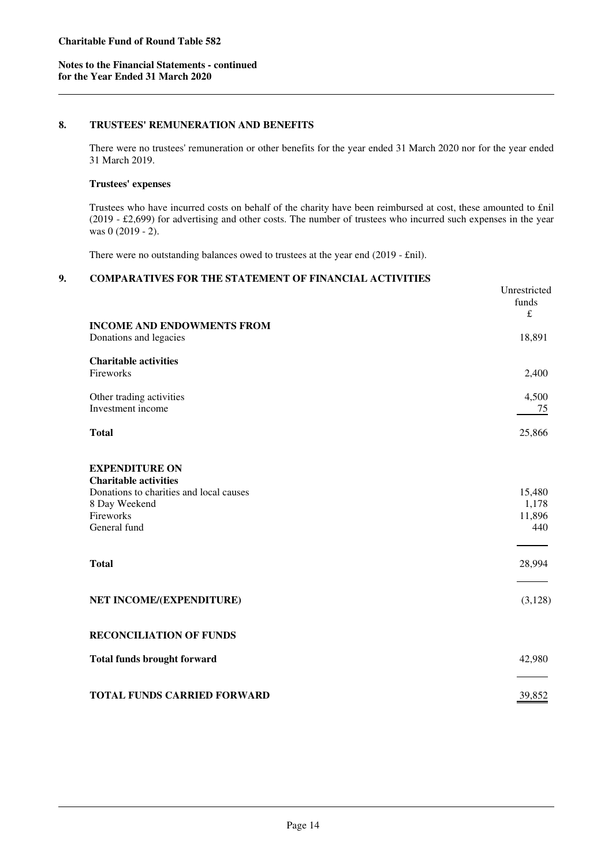## **Charitable Fund of Round Table 582**

**Notes to the Financial Statements - continued for the Year Ended 31 March 2020** 

### **8. TRUSTEES' REMUNERATION AND BENEFITS**

There were no trustees' remuneration or other benefits for the year ended 31 March 2020 nor for the year ended 31 March 2019.

### **Trustees' expenses**

Trustees who have incurred costs on behalf of the charity have been reimbursed at cost, these amounted to £nil  $(2019 - \text{\textsterling}2,699)$  for advertising and other costs. The number of trustees who incurred such expenses in the year was 0 (2019 - 2).

There were no outstanding balances owed to trustees at the year end (2019 - £nil).

# **9. COMPARATIVES FOR THE STATEMENT OF FINANCIAL ACTIVITIES**

|                                         | Unrestricted<br>funds |
|-----------------------------------------|-----------------------|
| <b>INCOME AND ENDOWMENTS FROM</b>       | £                     |
| Donations and legacies                  | 18,891                |
| <b>Charitable activities</b>            |                       |
| Fireworks                               | 2,400                 |
| Other trading activities                | 4,500                 |
| Investment income                       | 75                    |
| <b>Total</b>                            | 25,866                |
|                                         |                       |
| <b>EXPENDITURE ON</b>                   |                       |
| <b>Charitable activities</b>            |                       |
| Donations to charities and local causes | 15,480                |
| 8 Day Weekend                           | 1,178                 |
| Fireworks                               | 11,896                |
| General fund                            | 440                   |
|                                         |                       |
| <b>Total</b>                            | 28,994                |
|                                         |                       |
| NET INCOME/(EXPENDITURE)                | (3,128)               |
| <b>RECONCILIATION OF FUNDS</b>          |                       |
|                                         |                       |
| <b>Total funds brought forward</b>      | 42,980                |
|                                         |                       |
| <b>TOTAL FUNDS CARRIED FORWARD</b>      | 39,852                |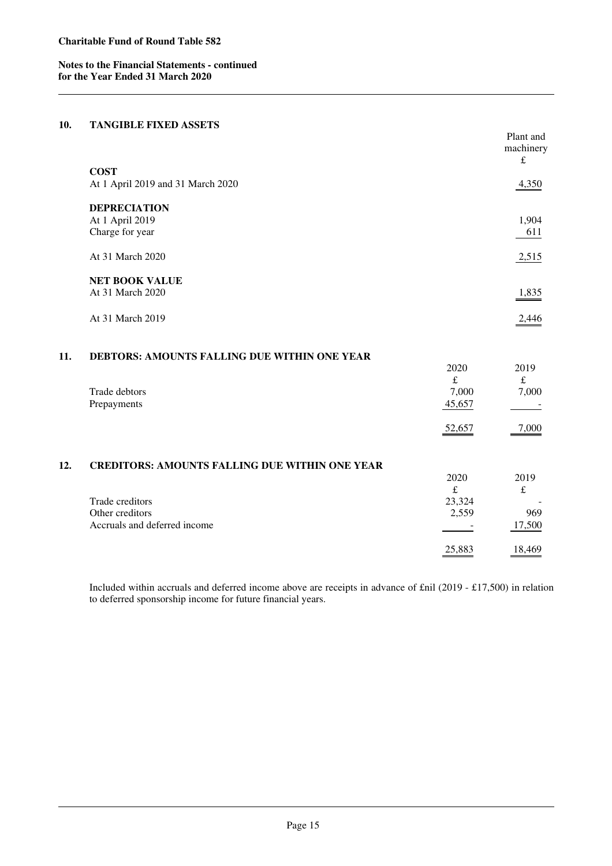**Notes to the Financial Statements - continued for the Year Ended 31 March 2020** 

### **10. TANGIBLE FIXED ASSETS**

|     |                                                       |             | Plant and<br>machinery<br>$\pounds$ |
|-----|-------------------------------------------------------|-------------|-------------------------------------|
|     | <b>COST</b>                                           |             |                                     |
|     | At 1 April 2019 and 31 March 2020                     |             | 4,350                               |
|     | <b>DEPRECIATION</b>                                   |             |                                     |
|     | At 1 April 2019                                       |             | 1,904                               |
|     | Charge for year                                       |             | 611                                 |
|     | At 31 March 2020                                      |             | 2,515                               |
|     | <b>NET BOOK VALUE</b>                                 |             |                                     |
|     | At 31 March 2020                                      |             | 1,835                               |
|     | At 31 March 2019                                      |             | 2,446                               |
| 11. | DEBTORS: AMOUNTS FALLING DUE WITHIN ONE YEAR          |             |                                     |
|     |                                                       | 2020<br>£   | 2019<br>£                           |
|     | Trade debtors                                         | 7,000       | 7,000                               |
|     | Prepayments                                           | 45,657      |                                     |
|     |                                                       |             |                                     |
|     |                                                       | 52,657      | 7,000                               |
|     |                                                       |             |                                     |
| 12. | <b>CREDITORS: AMOUNTS FALLING DUE WITHIN ONE YEAR</b> | 2020        | 2019                                |
|     |                                                       | $\mathbf f$ | $\mathbf f$                         |
|     | Trade creditors                                       | 23,324      |                                     |
|     | Other creditors                                       | 2,559       | 969                                 |
|     | Accruals and deferred income                          |             | 17,500                              |
|     |                                                       | 25,883      | 18,469                              |
|     |                                                       |             |                                     |

Included within accruals and deferred income above are receipts in advance of £nil (2019 - £17,500) in relation to deferred sponsorship income for future financial years.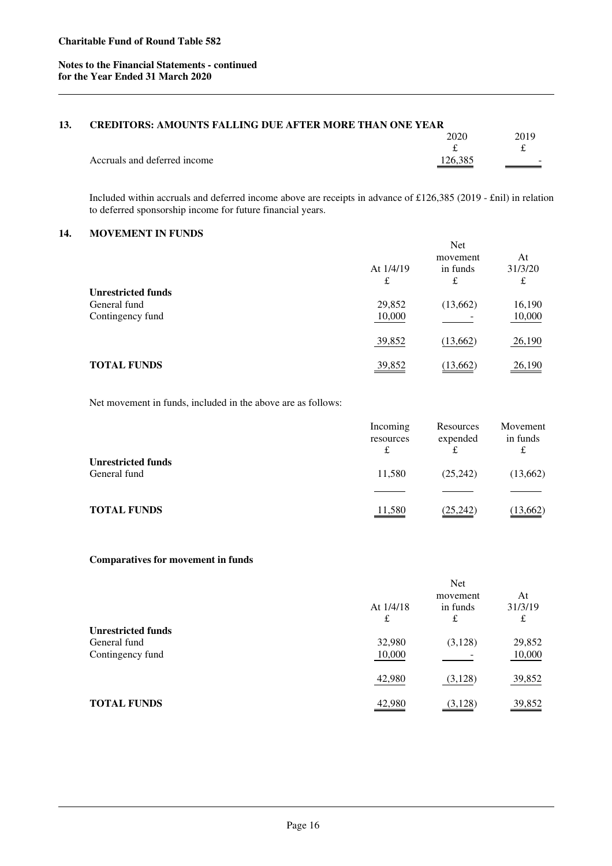# **13. CREDITORS: AMOUNTS FALLING DUE AFTER MORE THAN ONE YEAR**

|                              | 2020    | 2019   |
|------------------------------|---------|--------|
|                              |         |        |
| Accruals and deferred income | 126.385 | $\sim$ |

Included within accruals and deferred income above are receipts in advance of £126,385 (2019 - £nil) in relation to deferred sponsorship income for future financial years.

# **14. MOVEMENT IN FUNDS**

|                                                               | At $1/4/19$<br>£ | Net<br>movement<br>in funds<br>£ | At<br>31/3/20<br>£ |
|---------------------------------------------------------------|------------------|----------------------------------|--------------------|
| <b>Unrestricted funds</b><br>General fund<br>Contingency fund | 29,852<br>10,000 | (13,662)                         | 16,190<br>10,000   |
|                                                               | 39,852           | (13,662)                         | 26,190             |
| <b>TOTAL FUNDS</b>                                            | 39,852           | (13, 662)                        | 26,190             |

Net movement in funds, included in the above are as follows:

|                                           | Incoming<br>resources<br>£ | Resources<br>expended | Movement<br>in funds |
|-------------------------------------------|----------------------------|-----------------------|----------------------|
| <b>Unrestricted funds</b><br>General fund | 11.580                     | (25,242)              | (13,662)             |
| <b>TOTAL FUNDS</b>                        | 11,580                     | (25, 242)             | (13, 662)            |

## **Comparatives for movement in funds**

|                           |             | <b>Net</b> |         |
|---------------------------|-------------|------------|---------|
|                           |             | movement   | At      |
|                           | At $1/4/18$ | in funds   | 31/3/19 |
|                           | £           | £          | £       |
| <b>Unrestricted funds</b> |             |            |         |
| General fund              | 32,980      | (3, 128)   | 29,852  |
| Contingency fund          | 10,000      |            | 10,000  |
|                           | 42,980      | (3,128)    | 39,852  |
| <b>TOTAL FUNDS</b>        | 42,980      | (3, 128)   | 39,852  |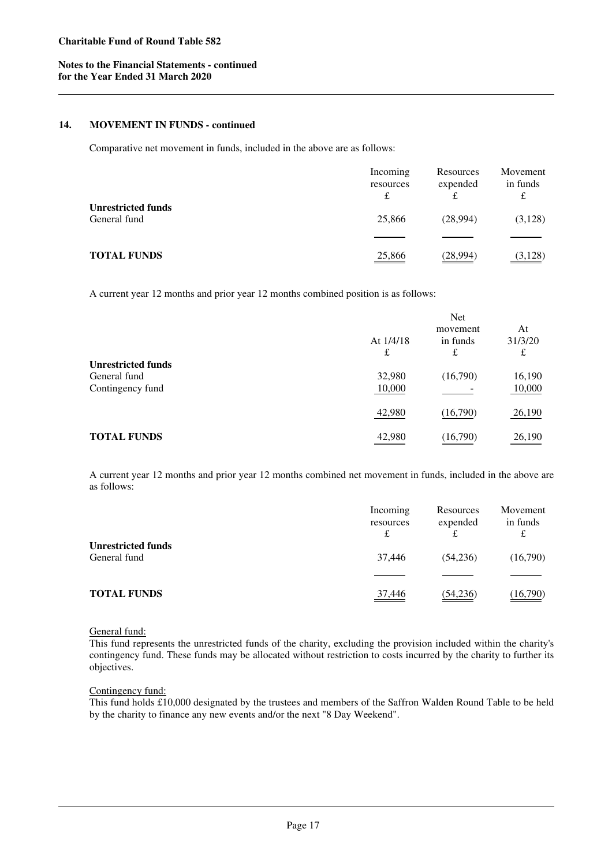# **Notes to the Financial Statements - continued for the Year Ended 31 March 2020**

## **14. MOVEMENT IN FUNDS - continued**

Comparative net movement in funds, included in the above are as follows:

|                                           | Incoming<br>resources<br>£ | Resources<br>expended | Movement<br>in funds<br>£ |
|-------------------------------------------|----------------------------|-----------------------|---------------------------|
| <b>Unrestricted funds</b><br>General fund | 25,866                     | (28,994)              | (3,128)                   |
|                                           |                            |                       |                           |
| <b>TOTAL FUNDS</b>                        | 25,866                     | (28,994)              | (3,128)                   |

A current year 12 months and prior year 12 months combined position is as follows:

|                           |                  | Net<br>movement | At           |
|---------------------------|------------------|-----------------|--------------|
|                           | At $1/4/18$<br>£ | in funds<br>£   | 31/3/20<br>£ |
| <b>Unrestricted funds</b> |                  |                 |              |
| General fund              | 32,980           | (16,790)        | 16,190       |
| Contingency fund          | 10,000           |                 | 10,000       |
|                           | 42,980           | (16,790)        | 26,190       |
| <b>TOTAL FUNDS</b>        | 42,980           | (16,790)        | 26,190       |

A current year 12 months and prior year 12 months combined net movement in funds, included in the above are as follows:

|                                           | Incoming<br>resources<br>£ | Resources<br>expended<br>£ | Movement<br>in funds<br>£ |
|-------------------------------------------|----------------------------|----------------------------|---------------------------|
| <b>Unrestricted funds</b><br>General fund | 37,446                     | (54,236)                   | (16,790)                  |
| <b>TOTAL FUNDS</b>                        | 37,446                     | (54,236)                   | (16,790)                  |
|                                           |                            |                            |                           |

General fund:

This fund represents the unrestricted funds of the charity, excluding the provision included within the charity's contingency fund. These funds may be allocated without restriction to costs incurred by the charity to further its objectives.

Contingency fund:

This fund holds £10,000 designated by the trustees and members of the Saffron Walden Round Table to be held by the charity to finance any new events and/or the next "8 Day Weekend".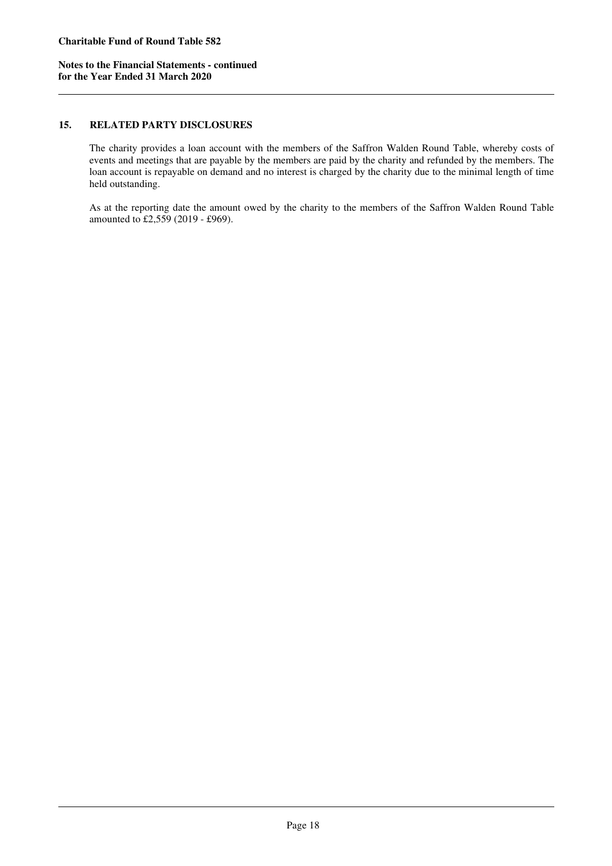## **Charitable Fund of Round Table 582**

**Notes to the Financial Statements - continued for the Year Ended 31 March 2020** 

## **15. RELATED PARTY DISCLOSURES**

The charity provides a loan account with the members of the Saffron Walden Round Table, whereby costs of events and meetings that are payable by the members are paid by the charity and refunded by the members. The loan account is repayable on demand and no interest is charged by the charity due to the minimal length of time held outstanding.

As at the reporting date the amount owed by the charity to the members of the Saffron Walden Round Table amounted to £2,559 (2019 - £969).